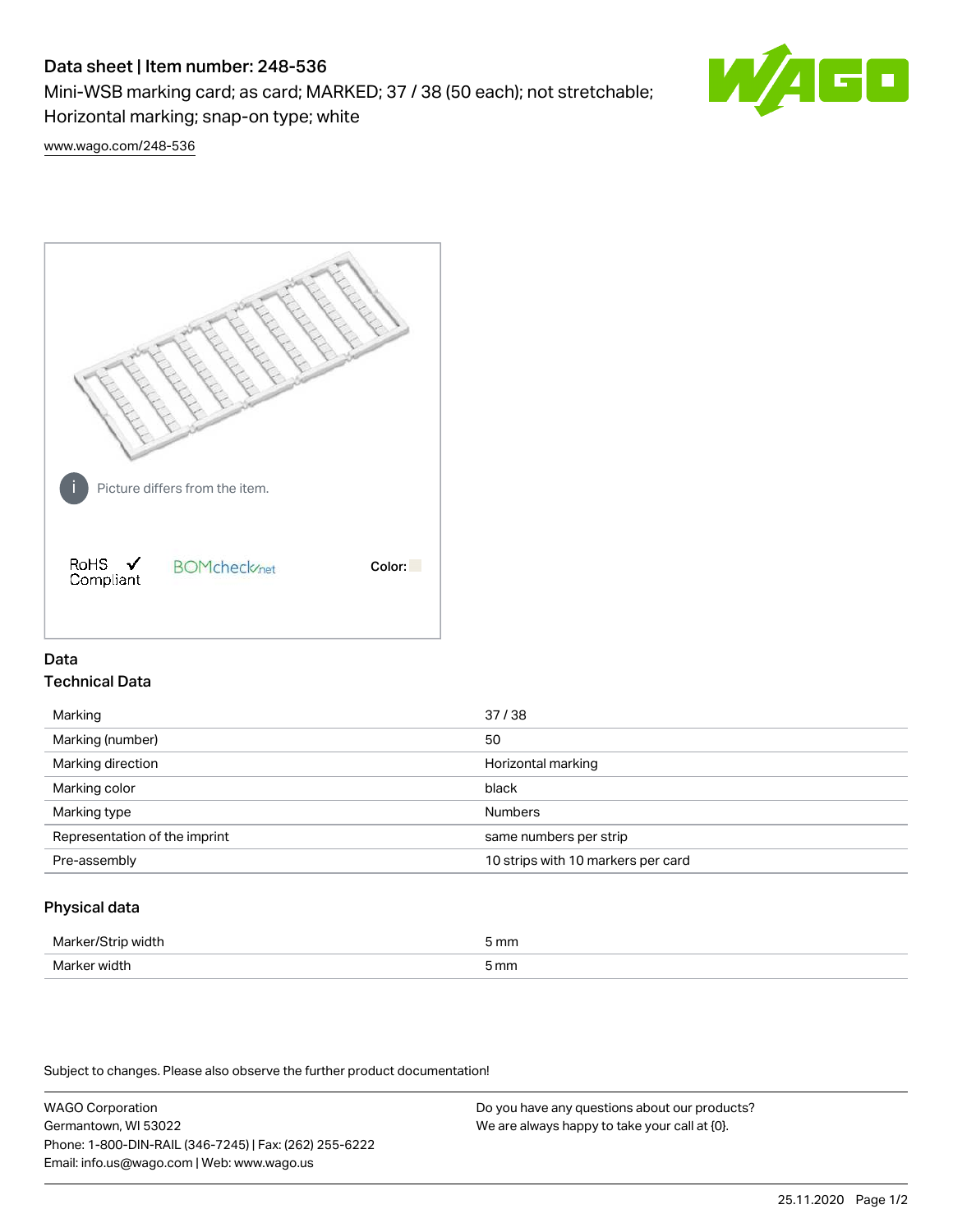# Data sheet | Item number: 248-536

Mini-WSB marking card; as card; MARKED; 37 / 38 (50 each); not stretchable; Horizontal marking; snap-on type; white



[www.wago.com/248-536](http://www.wago.com/248-536)



## Data Technical Data

| Marking                       | 37/38                              |
|-------------------------------|------------------------------------|
| Marking (number)              | 50                                 |
| Marking direction             | Horizontal marking                 |
| Marking color                 | black                              |
| Marking type                  | <b>Numbers</b>                     |
| Representation of the imprint | same numbers per strip             |
| Pre-assembly                  | 10 strips with 10 markers per card |
|                               |                                    |

## Physical data

| Mar                      | 5 mm |
|--------------------------|------|
| M <sub>cr</sub><br>width | 5 mm |

Subject to changes. Please also observe the further product documentation!

WAGO Corporation Germantown, WI 53022 Phone: 1-800-DIN-RAIL (346-7245) | Fax: (262) 255-6222 Email: info.us@wago.com | Web: www.wago.us Do you have any questions about our products? We are always happy to take your call at {0}.